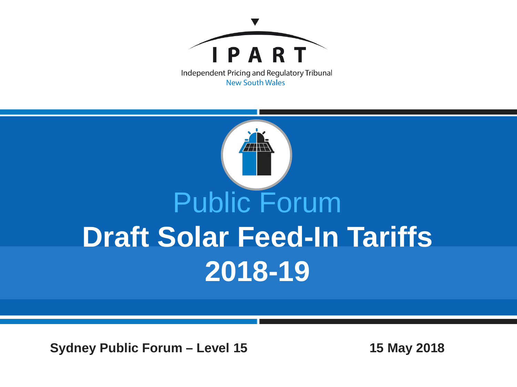



**Sydney Public Forum – Level 15 15 May 2018**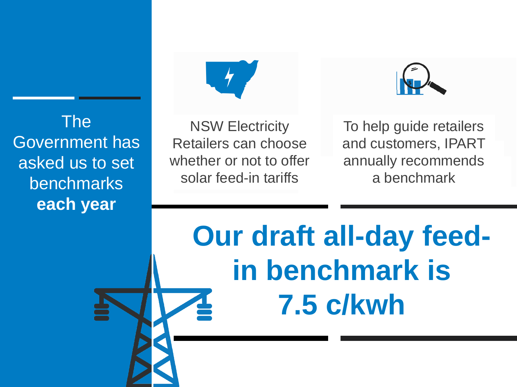The Government has asked us to set benchmarks **each year**



NSW Electricity Retailers can choose whether or not to offer solar feed-in tariffs

To help guide retailers and customers, IPART annually recommends a benchmark

**Our draft all-day feedin benchmark is 7.5 c/kwh**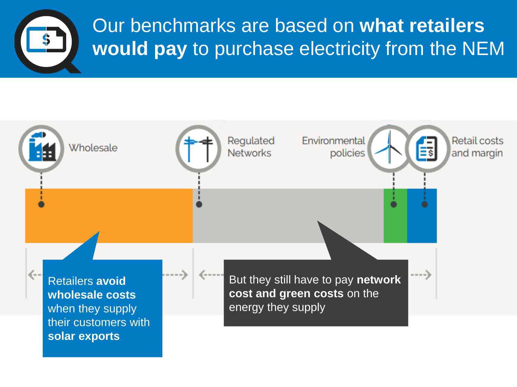

Our benchmarks are based on **what retailers would pay** to purchase electricity from the NEM

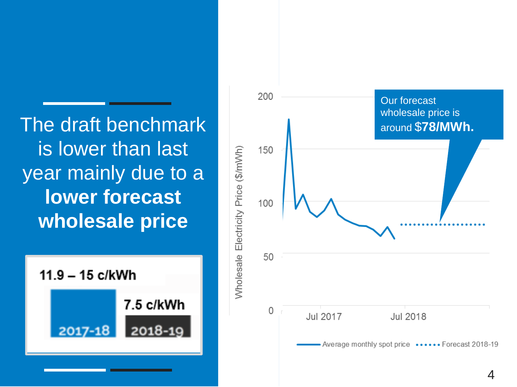is lower than last year mainly due to a **lower forecast wholesale price**



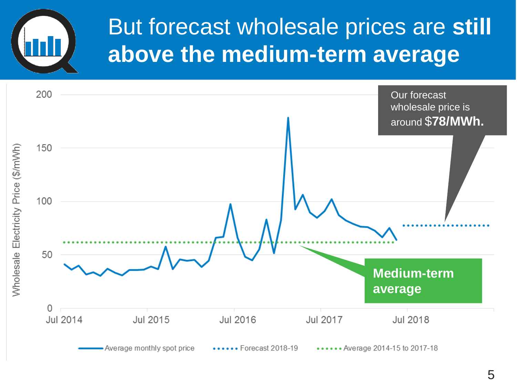# But forecast wholesale prices are **still above the medium-term average**

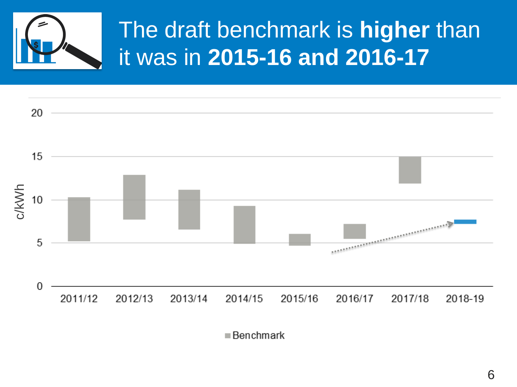

### The draft benchmark is **higher** than it was in **2015-16 and 2016-17**



 $\blacksquare$  Benchmark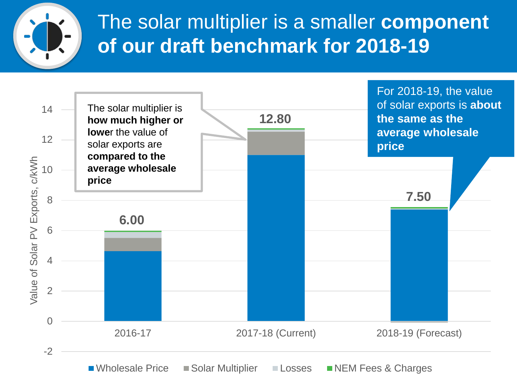

### The solar multiplier is a smaller **component of our draft benchmark for 2018-19**

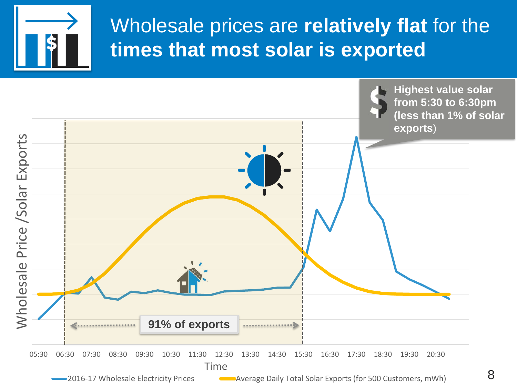

#### Wholesale prices are **relatively flat** for the **times that most solar is exported**

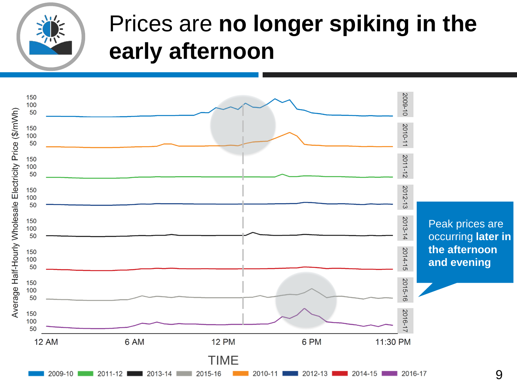

# Prices are **no longer spiking in the early afternoon**

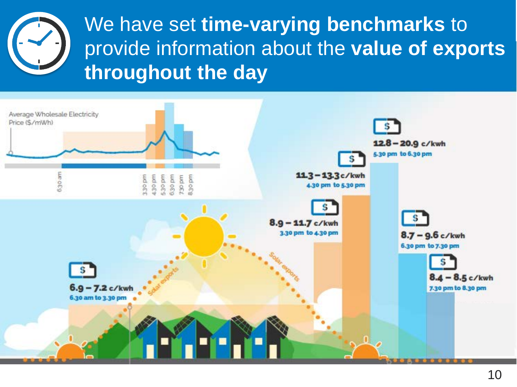

We have set **time-varying benchmarks** to provide information about the **value of exports throughout the day**

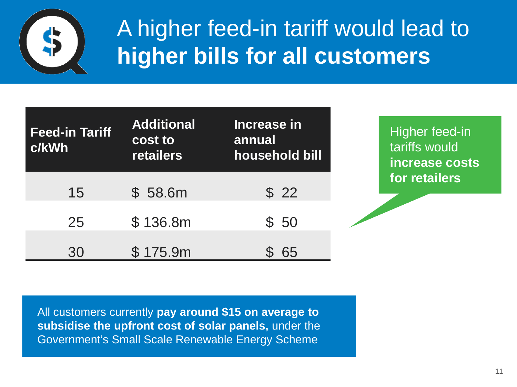

### A higher feed-in tariff would lead to **higher bills for all customers**

| <b>Feed-in Tariff</b><br>c/kWh | <b>Additional</b><br>cost to<br><b>retailers</b> | Increase in<br>annual<br>household bill |
|--------------------------------|--------------------------------------------------|-----------------------------------------|
| 15                             | \$58.6m                                          | \$22                                    |
| 25                             | \$136.8m                                         | \$50                                    |
| 30                             | \$175.9m                                         | 65                                      |

Higher feed-in tariffs would **increase costs for retailers**

All customers currently **pay around \$15 on average to subsidise the upfront cost of solar panels,** under the Government's Small Scale Renewable Energy Scheme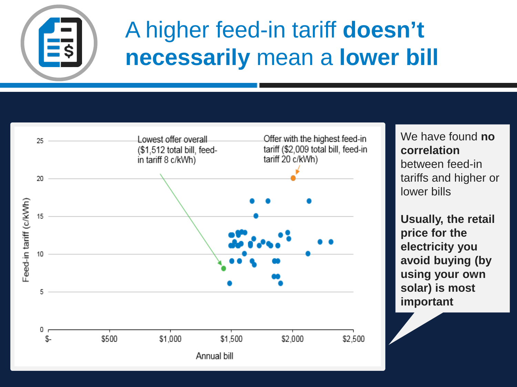

## A higher feed-in tariff **doesn't necessarily** mean a **lower bill**



We have found **no correlation**  between feed-in tariffs and higher or lower bills

**Usually, the retail price for the electricity you avoid buying (by using your own solar) is most important**